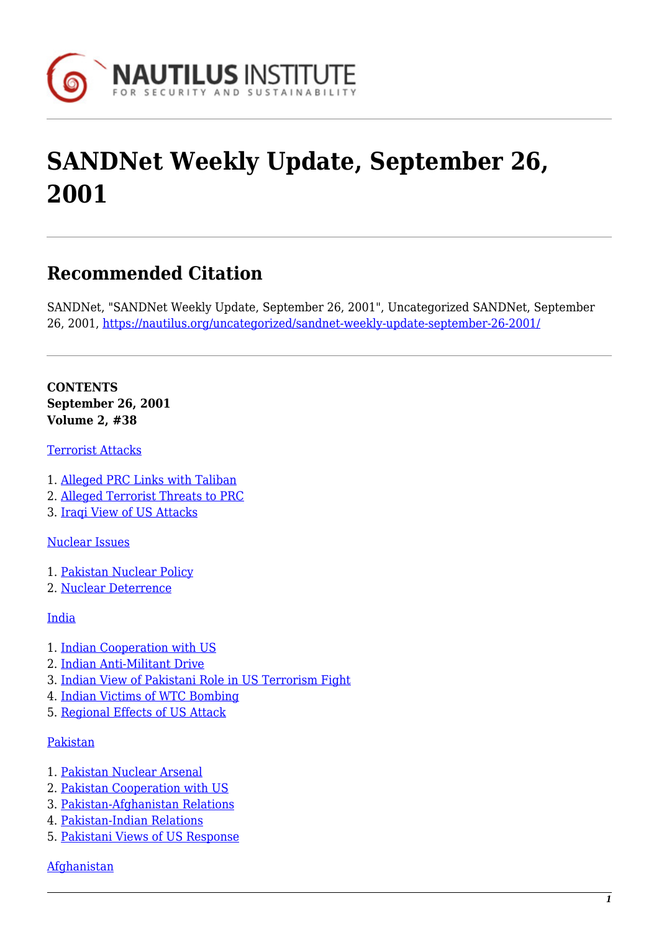

# **SANDNet Weekly Update, September 26, 2001**

# **Recommended Citation**

SANDNet, "SANDNet Weekly Update, September 26, 2001", Uncategorized SANDNet, September 26, 2001, <https://nautilus.org/uncategorized/sandnet-weekly-update-september-26-2001/>

**CONTENTS September 26, 2001 Volume 2, #38**

[Terrorist Attacks](https://nautilus.org/?p=45267&preview=true#1)

- 1. [Alleged PRC Links with Taliban](https://nautilus.org/?p=45267&preview=true#2)
- 2. [Alleged Terrorist Threats to PRC](https://nautilus.org/?p=45267&preview=true#3)
- 3. [Iraqi View of US Attacks](https://nautilus.org/?p=45267&preview=true#4)

[Nuclear Issues](https://nautilus.org/?p=45267&preview=true#5)

- 1. [Pakistan Nuclear Policy](https://nautilus.org/?p=45267&preview=true#6)
- 2. [Nuclear Deterrence](https://nautilus.org/?p=45267&preview=true#7)

[India](https://nautilus.org/?p=45267&preview=true#8)

- 1. [Indian Cooperation with US](https://nautilus.org/?p=45267&preview=true#9)
- 2. [Indian Anti-Militant Drive](https://nautilus.org/?p=45267&preview=true#10)
- 3. [Indian View of Pakistani Role in US Terrorism Fight](https://nautilus.org/?p=45267&preview=true#11)
- 4. [Indian Victims of WTC Bombing](https://nautilus.org/?p=45267&preview=true#12)
- 5. [Regional Effects of US Attack](https://nautilus.org/?p=45267&preview=true#13)

#### [Pakistan](https://nautilus.org/?p=45267&preview=true#14)

- 1. [Pakistan Nuclear Arsenal](https://nautilus.org/?p=45267&preview=true#15)
- 2. [Pakistan Cooperation with US](https://nautilus.org/?p=45267&preview=true#16)
- 3. [Pakistan-Afghanistan Relations](https://nautilus.org/?p=45267&preview=true#17)
- 4. [Pakistan-Indian Relations](https://nautilus.org/?p=45267&preview=true#18)
- 5. [Pakistani Views of US Response](https://nautilus.org/?p=45267&preview=true#19)

[Afghanistan](https://nautilus.org/?p=45267&preview=true#20)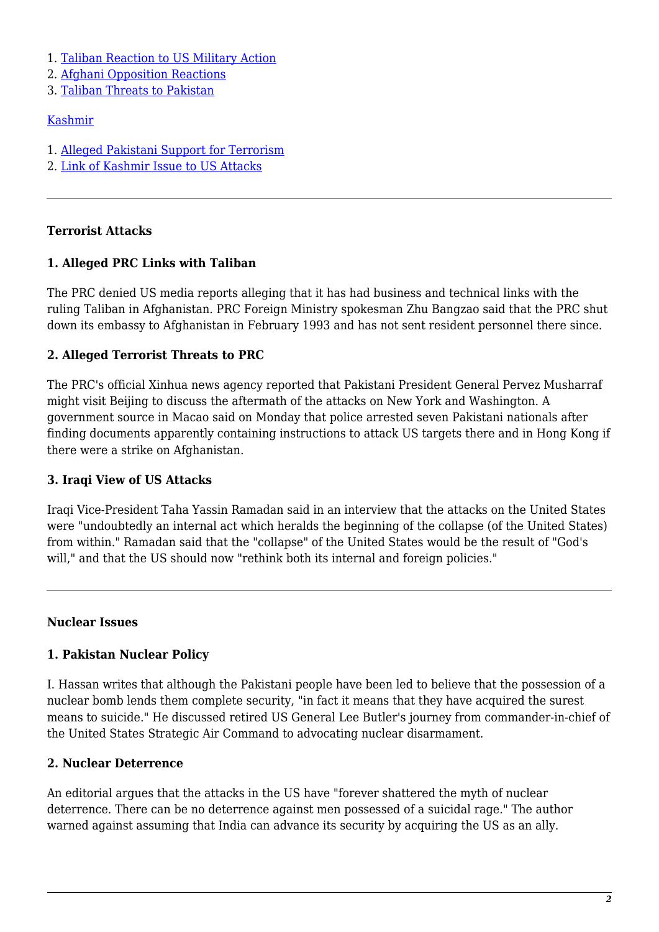- 1. [Taliban Reaction to US Military Action](https://nautilus.org/?p=45267&preview=true#21)
- 2. [Afghani Opposition Reactions](https://nautilus.org/?p=45267&preview=true#22)
- 3. [Taliban Threats to Pakistan](https://nautilus.org/?p=45267&preview=true#23)

## [Kashmir](https://nautilus.org/?p=45267&preview=true#24)

- 1. [Alleged Pakistani Support for Terrorism](https://nautilus.org/?p=45267&preview=true#25)
- 2. [Link of Kashmir Issue to US Attacks](https://nautilus.org/?p=45267&preview=true#26)

# **Terrorist Attacks**

## **1. Alleged PRC Links with Taliban**

The PRC denied US media reports alleging that it has had business and technical links with the ruling Taliban in Afghanistan. PRC Foreign Ministry spokesman Zhu Bangzao said that the PRC shut down its embassy to Afghanistan in February 1993 and has not sent resident personnel there since.

# **2. Alleged Terrorist Threats to PRC**

The PRC's official Xinhua news agency reported that Pakistani President General Pervez Musharraf might visit Beijing to discuss the aftermath of the attacks on New York and Washington. A government source in Macao said on Monday that police arrested seven Pakistani nationals after finding documents apparently containing instructions to attack US targets there and in Hong Kong if there were a strike on Afghanistan.

# **3. Iraqi View of US Attacks**

Iraqi Vice-President Taha Yassin Ramadan said in an interview that the attacks on the United States were "undoubtedly an internal act which heralds the beginning of the collapse (of the United States) from within." Ramadan said that the "collapse" of the United States would be the result of "God's will," and that the US should now "rethink both its internal and foreign policies."

## **Nuclear Issues**

# **1. Pakistan Nuclear Policy**

I. Hassan writes that although the Pakistani people have been led to believe that the possession of a nuclear bomb lends them complete security, "in fact it means that they have acquired the surest means to suicide." He discussed retired US General Lee Butler's journey from commander-in-chief of the United States Strategic Air Command to advocating nuclear disarmament.

# **2. Nuclear Deterrence**

An editorial argues that the attacks in the US have "forever shattered the myth of nuclear deterrence. There can be no deterrence against men possessed of a suicidal rage." The author warned against assuming that India can advance its security by acquiring the US as an ally.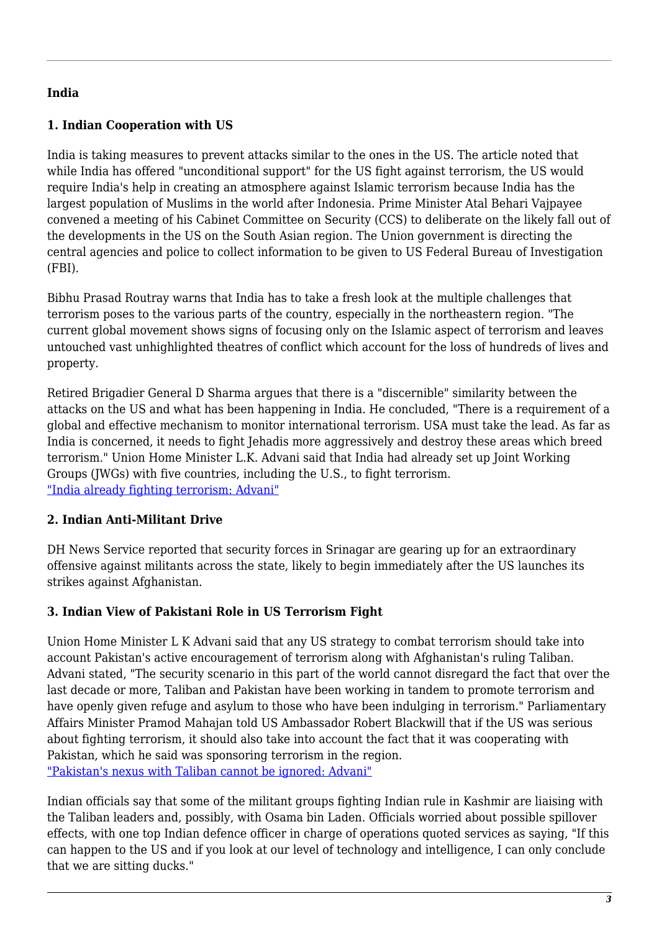## **India**

# **1. Indian Cooperation with US**

India is taking measures to prevent attacks similar to the ones in the US. The article noted that while India has offered "unconditional support" for the US fight against terrorism, the US would require India's help in creating an atmosphere against Islamic terrorism because India has the largest population of Muslims in the world after Indonesia. Prime Minister Atal Behari Vajpayee convened a meeting of his Cabinet Committee on Security (CCS) to deliberate on the likely fall out of the developments in the US on the South Asian region. The Union government is directing the central agencies and police to collect information to be given to US Federal Bureau of Investigation (FBI).

Bibhu Prasad Routray warns that India has to take a fresh look at the multiple challenges that terrorism poses to the various parts of the country, especially in the northeastern region. "The current global movement shows signs of focusing only on the Islamic aspect of terrorism and leaves untouched vast unhighlighted theatres of conflict which account for the loss of hundreds of lives and property.

Retired Brigadier General D Sharma argues that there is a "discernible" similarity between the attacks on the US and what has been happening in India. He concluded, "There is a requirement of a global and effective mechanism to monitor international terrorism. USA must take the lead. As far as India is concerned, it needs to fight Jehadis more aggressively and destroy these areas which breed terrorism." Union Home Minister L.K. Advani said that India had already set up Joint Working Groups (JWGs) with five countries, including the U.S., to fight terrorism. ["India already fighting terrorism: Advani"](http://www.thehindu.com/thehindu/2001/09/15/stories/02150003.htm)

## **2. Indian Anti-Militant Drive**

DH News Service reported that security forces in Srinagar are gearing up for an extraordinary offensive against militants across the state, likely to begin immediately after the US launches its strikes against Afghanistan.

# **3. Indian View of Pakistani Role in US Terrorism Fight**

Union Home Minister L K Advani said that any US strategy to combat terrorism should take into account Pakistan's active encouragement of terrorism along with Afghanistan's ruling Taliban. Advani stated, "The security scenario in this part of the world cannot disregard the fact that over the last decade or more, Taliban and Pakistan have been working in tandem to promote terrorism and have openly given refuge and asylum to those who have been indulging in terrorism." Parliamentary Affairs Minister Pramod Mahajan told US Ambassador Robert Blackwill that if the US was serious about fighting terrorism, it should also take into account the fact that it was cooperating with Pakistan, which he said was sponsoring terrorism in the region. ["Pakistan's nexus with Taliban cannot be ignored: Advani"](http://www.thehindu.com/thehindu/2001/09/16/stories/02160004.htm)

Indian officials say that some of the militant groups fighting Indian rule in Kashmir are liaising with the Taliban leaders and, possibly, with Osama bin Laden. Officials worried about possible spillover effects, with one top Indian defence officer in charge of operations quoted services as saying, "If this can happen to the US and if you look at our level of technology and intelligence, I can only conclude that we are sitting ducks."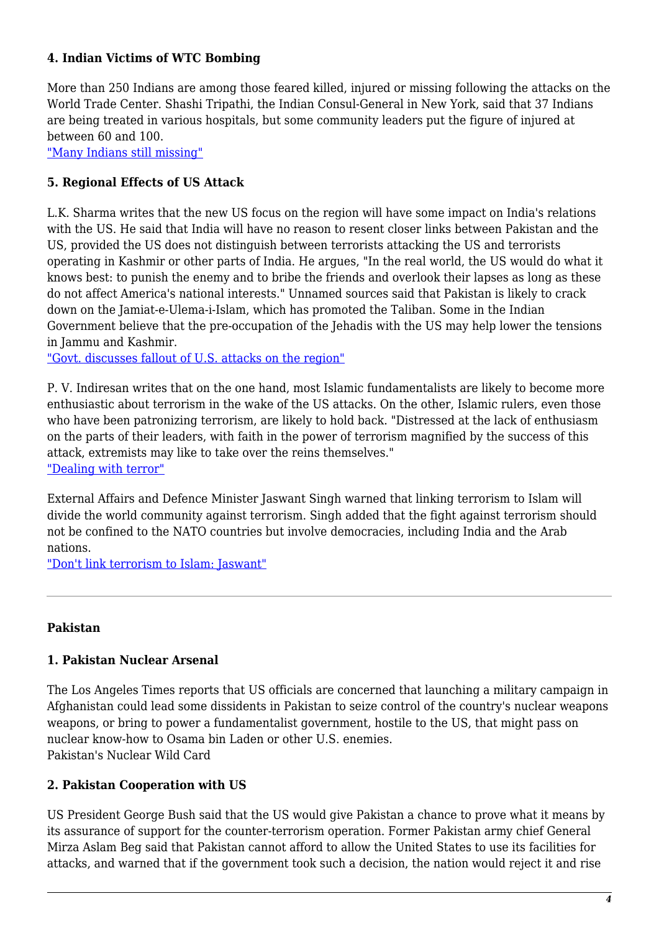## **4. Indian Victims of WTC Bombing**

More than 250 Indians are among those feared killed, injured or missing following the attacks on the World Trade Center. Shashi Tripathi, the Indian Consul-General in New York, said that 37 Indians are being treated in various hospitals, but some community leaders put the figure of injured at between 60 and 100.

["Many Indians still missing"](http://www.thehindu.com/thehindu/2001/09/14/stories/01140002.htm)

# **5. Regional Effects of US Attack**

L.K. Sharma writes that the new US focus on the region will have some impact on India's relations with the US. He said that India will have no reason to resent closer links between Pakistan and the US, provided the US does not distinguish between terrorists attacking the US and terrorists operating in Kashmir or other parts of India. He argues, "In the real world, the US would do what it knows best: to punish the enemy and to bribe the friends and overlook their lapses as long as these do not affect America's national interests." Unnamed sources said that Pakistan is likely to crack down on the Jamiat-e-Ulema-i-Islam, which has promoted the Taliban. Some in the Indian Government believe that the pre-occupation of the Jehadis with the US may help lower the tensions in Jammu and Kashmir.

["Govt. discusses fallout of U.S. attacks on the region"](http://www.thehindu.com/thehindu/2001/09/14/stories/01140006.htm)

P. V. Indiresan writes that on the one hand, most Islamic fundamentalists are likely to become more enthusiastic about terrorism in the wake of the US attacks. On the other, Islamic rulers, even those who have been patronizing terrorism, are likely to hold back. "Distressed at the lack of enthusiasm on the parts of their leaders, with faith in the power of terrorism magnified by the success of this attack, extremists may like to take over the reins themselves." ["Dealing with terror"](http://www.thehindu.com/thehindu/2001/09/15/stories/05152524.htm)

External Affairs and Defence Minister Jaswant Singh warned that linking terrorism to Islam will divide the world community against terrorism. Singh added that the fight against terrorism should not be confined to the NATO countries but involve democracies, including India and the Arab nations.

["Don't link terrorism to Islam: Jaswant"](http://www.thehindu.com/thehindu/2001/09/16/stories/02160001.htm)

## **Pakistan**

## **1. Pakistan Nuclear Arsenal**

The Los Angeles Times reports that US officials are concerned that launching a military campaign in Afghanistan could lead some dissidents in Pakistan to seize control of the country's nuclear weapons weapons, or bring to power a fundamentalist government, hostile to the US, that might pass on nuclear know-how to Osama bin Laden or other U.S. enemies. Pakistan's Nuclear Wild Card

#### **2. Pakistan Cooperation with US**

US President George Bush said that the US would give Pakistan a chance to prove what it means by its assurance of support for the counter-terrorism operation. Former Pakistan army chief General Mirza Aslam Beg said that Pakistan cannot afford to allow the United States to use its facilities for attacks, and warned that if the government took such a decision, the nation would reject it and rise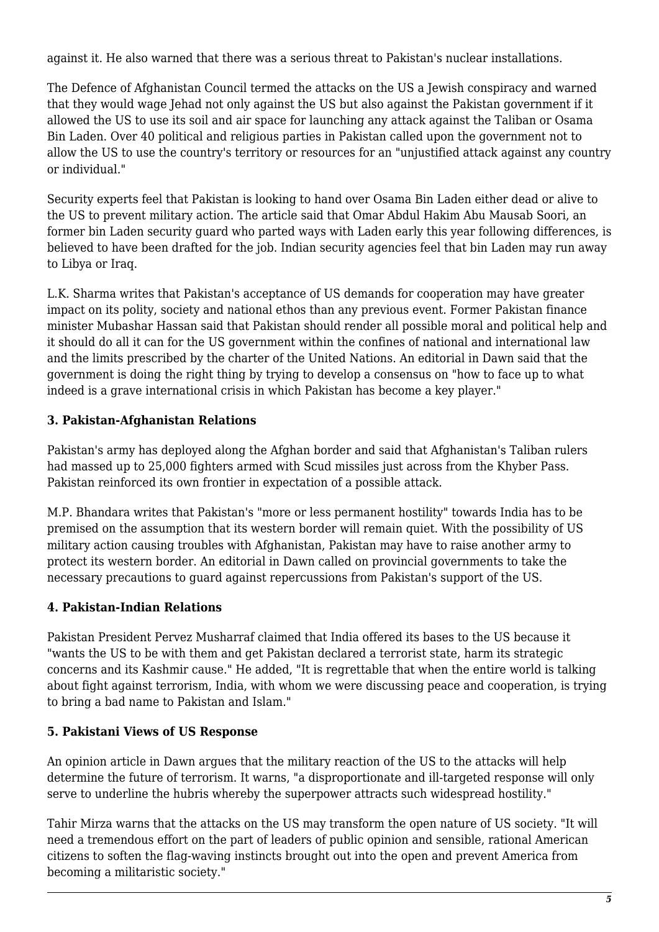against it. He also warned that there was a serious threat to Pakistan's nuclear installations.

The Defence of Afghanistan Council termed the attacks on the US a Jewish conspiracy and warned that they would wage Jehad not only against the US but also against the Pakistan government if it allowed the US to use its soil and air space for launching any attack against the Taliban or Osama Bin Laden. Over 40 political and religious parties in Pakistan called upon the government not to allow the US to use the country's territory or resources for an "unjustified attack against any country or individual."

Security experts feel that Pakistan is looking to hand over Osama Bin Laden either dead or alive to the US to prevent military action. The article said that Omar Abdul Hakim Abu Mausab Soori, an former bin Laden security guard who parted ways with Laden early this year following differences, is believed to have been drafted for the job. Indian security agencies feel that bin Laden may run away to Libya or Iraq.

L.K. Sharma writes that Pakistan's acceptance of US demands for cooperation may have greater impact on its polity, society and national ethos than any previous event. Former Pakistan finance minister Mubashar Hassan said that Pakistan should render all possible moral and political help and it should do all it can for the US government within the confines of national and international law and the limits prescribed by the charter of the United Nations. An editorial in Dawn said that the government is doing the right thing by trying to develop a consensus on "how to face up to what indeed is a grave international crisis in which Pakistan has become a key player."

# **3. Pakistan-Afghanistan Relations**

Pakistan's army has deployed along the Afghan border and said that Afghanistan's Taliban rulers had massed up to 25,000 fighters armed with Scud missiles just across from the Khyber Pass. Pakistan reinforced its own frontier in expectation of a possible attack.

M.P. Bhandara writes that Pakistan's "more or less permanent hostility" towards India has to be premised on the assumption that its western border will remain quiet. With the possibility of US military action causing troubles with Afghanistan, Pakistan may have to raise another army to protect its western border. An editorial in Dawn called on provincial governments to take the necessary precautions to guard against repercussions from Pakistan's support of the US.

## **4. Pakistan-Indian Relations**

Pakistan President Pervez Musharraf claimed that India offered its bases to the US because it "wants the US to be with them and get Pakistan declared a terrorist state, harm its strategic concerns and its Kashmir cause." He added, "It is regrettable that when the entire world is talking about fight against terrorism, India, with whom we were discussing peace and cooperation, is trying to bring a bad name to Pakistan and Islam."

# **5. Pakistani Views of US Response**

An opinion article in Dawn argues that the military reaction of the US to the attacks will help determine the future of terrorism. It warns, "a disproportionate and ill-targeted response will only serve to underline the hubris whereby the superpower attracts such widespread hostility."

Tahir Mirza warns that the attacks on the US may transform the open nature of US society. "It will need a tremendous effort on the part of leaders of public opinion and sensible, rational American citizens to soften the flag-waving instincts brought out into the open and prevent America from becoming a militaristic society."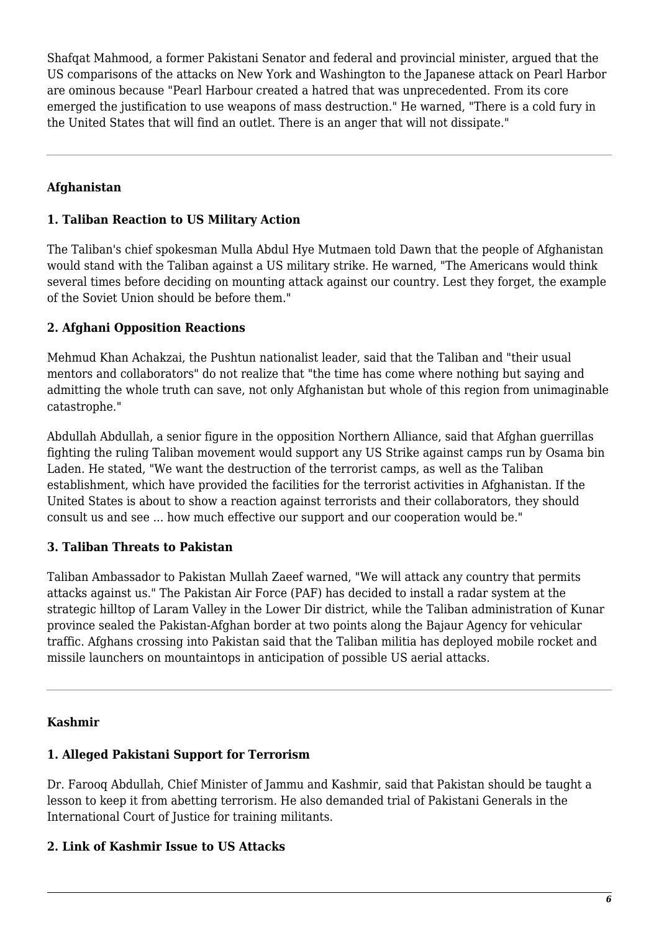Shafqat Mahmood, a former Pakistani Senator and federal and provincial minister, argued that the US comparisons of the attacks on New York and Washington to the Japanese attack on Pearl Harbor are ominous because "Pearl Harbour created a hatred that was unprecedented. From its core emerged the justification to use weapons of mass destruction." He warned, "There is a cold fury in the United States that will find an outlet. There is an anger that will not dissipate."

# **Afghanistan**

# **1. Taliban Reaction to US Military Action**

The Taliban's chief spokesman Mulla Abdul Hye Mutmaen told Dawn that the people of Afghanistan would stand with the Taliban against a US military strike. He warned, "The Americans would think several times before deciding on mounting attack against our country. Lest they forget, the example of the Soviet Union should be before them."

# **2. Afghani Opposition Reactions**

Mehmud Khan Achakzai, the Pushtun nationalist leader, said that the Taliban and "their usual mentors and collaborators" do not realize that "the time has come where nothing but saying and admitting the whole truth can save, not only Afghanistan but whole of this region from unimaginable catastrophe."

Abdullah Abdullah, a senior figure in the opposition Northern Alliance, said that Afghan guerrillas fighting the ruling Taliban movement would support any US Strike against camps run by Osama bin Laden. He stated, "We want the destruction of the terrorist camps, as well as the Taliban establishment, which have provided the facilities for the terrorist activities in Afghanistan. If the United States is about to show a reaction against terrorists and their collaborators, they should consult us and see ... how much effective our support and our cooperation would be."

## **3. Taliban Threats to Pakistan**

Taliban Ambassador to Pakistan Mullah Zaeef warned, "We will attack any country that permits attacks against us." The Pakistan Air Force (PAF) has decided to install a radar system at the strategic hilltop of Laram Valley in the Lower Dir district, while the Taliban administration of Kunar province sealed the Pakistan-Afghan border at two points along the Bajaur Agency for vehicular traffic. Afghans crossing into Pakistan said that the Taliban militia has deployed mobile rocket and missile launchers on mountaintops in anticipation of possible US aerial attacks.

## **Kashmir**

## **1. Alleged Pakistani Support for Terrorism**

Dr. Farooq Abdullah, Chief Minister of Jammu and Kashmir, said that Pakistan should be taught a lesson to keep it from abetting terrorism. He also demanded trial of Pakistani Generals in the International Court of Justice for training militants.

## **2. Link of Kashmir Issue to US Attacks**